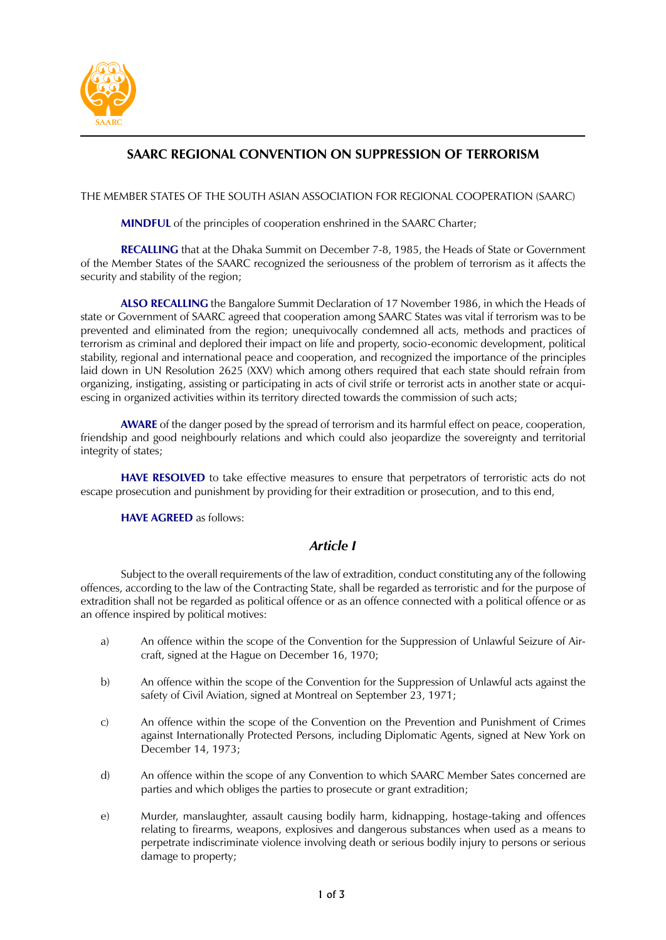

# SAARC REGIONAL CONVENTION ON SUPPRESSION OF TERRORISM

THE MEMBER STATES OF THE SOUTH ASIAN ASSOCIATION FOR REGIONAL COOPERATION (SAARC)

MINDFUL of the principles of cooperation enshrined in the SAARC Charter;

**RECALLING** that at the Dhaka Summit on December 7-8, 1985, the Heads of State or Government of the Member States of the SAARC recognized the seriousness of the problem of terrorism as it affects the security and stability of the region;

ALSO RECALLING the Bangalore Summit Declaration of 17 November 1986, in which the Heads of state or Government of SAARC agreed that cooperation among SAARC States was vital if terrorism was to be prevented and eliminated from the region; unequivocally condemned all acts, methods and practices of terrorism as criminal and deplored their impact on life and property, socio-economic development, political stability, regional and international peace and cooperation, and recognized the importance of the principles laid down in UN Resolution 2625 (XXV) which among others required that each state should refrain from organizing, instigating, assisting or participating in acts of civil strife or terrorist acts in another state or acquiescing in organized activities within its territory directed towards the commission of such acts;

AWARE of the danger posed by the spread of terrorism and its harmful effect on peace, cooperation, friendship and good neighbourly relations and which could also jeopardize the sovereignty and territorial integrity of states;

HAVE RESOLVED to take effective measures to ensure that perpetrators of terroristic acts do not escape prosecution and punishment by providing for their extradition or prosecution, and to this end,

**HAVE AGREED** as follows:

# Article I

Subject to the overall requirements of the law of extradition, conduct constituting any of the following offences, according to the law of the Contracting State, shall be regarded as terroristic and for the purpose of extradition shall not be regarded as political offence or as an offence connected with a political offence or as an offence inspired by political motives:

- An offence within the scope of the Convention for the Suppression of Unlawful Seizure of Aira) craft, signed at the Hague on December 16, 1970;
- $b)$ An offence within the scope of the Convention for the Suppression of Unlawful acts against the safety of Civil Aviation, signed at Montreal on September 23, 1971;
- An offence within the scope of the Convention on the Prevention and Punishment of Crimes  $\mathbf{C}$ against Internationally Protected Persons, including Diplomatic Agents, signed at New York on December 14, 1973;
- An offence within the scope of any Convention to which SAARC Member Sates concerned are  $\mathbf{d}$ parties and which obliges the parties to prosecute or grant extradition;
- $\epsilon$ ) Murder, manslaughter, assault causing bodily harm, kidnapping, hostage-taking and offences relating to firearms, weapons, explosives and dangerous substances when used as a means to perpetrate indiscriminate violence involving death or serious bodily injury to persons or serious damage to property;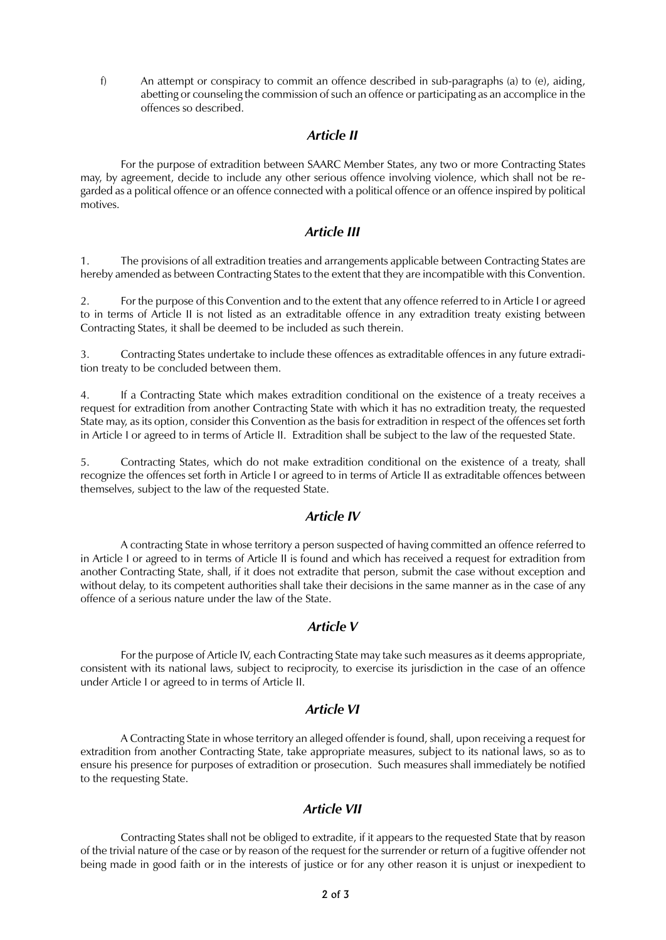$f$ An attempt or conspiracy to commit an offence described in sub-paragraphs (a) to (e), aiding, abetting or counseling the commission of such an offence or participating as an accomplice in the offences so described.

## Article II

For the purpose of extradition between SAARC Member States, any two or more Contracting States may, by agreement, decide to include any other serious offence involving violence, which shall not be regarded as a political offence or an offence connected with a political offence or an offence inspired by political motives.

# **Article III**

 $1.$ The provisions of all extradition treaties and arrangements applicable between Contracting States are hereby amended as between Contracting States to the extent that they are incompatible with this Convention.

 $2.$ For the purpose of this Convention and to the extent that any offence referred to in Article I or agreed to in terms of Article II is not listed as an extraditable offence in any extradition treaty existing between Contracting States, it shall be deemed to be included as such therein.

3. Contracting States undertake to include these offences as extraditable offences in any future extradition treaty to be concluded between them.

If a Contracting State which makes extradition conditional on the existence of a treaty receives a  $4.$ request for extradition from another Contracting State with which it has no extradition treaty, the requested State may, as its option, consider this Convention as the basis for extradition in respect of the offences set forth in Article I or agreed to in terms of Article II. Extradition shall be subject to the law of the requested State.

Contracting States, which do not make extradition conditional on the existence of a treaty, shall 5. recognize the offences set forth in Article I or agreed to in terms of Article II as extraditable offences between themselves, subject to the law of the requested State.

# Article IV

A contracting State in whose territory a person suspected of having committed an offence referred to in Article I or agreed to in terms of Article II is found and which has received a request for extradition from another Contracting State, shall, if it does not extradite that person, submit the case without exception and without delay, to its competent authorities shall take their decisions in the same manner as in the case of any offence of a serious nature under the law of the State.

## **Article V**

For the purpose of Article IV, each Contracting State may take such measures as it deems appropriate, consistent with its national laws, subject to reciprocity, to exercise its jurisdiction in the case of an offence under Article I or agreed to in terms of Article II.

#### **Article VI**

A Contracting State in whose territory an alleged offender is found, shall, upon receiving a request for extradition from another Contracting State, take appropriate measures, subject to its national laws, so as to ensure his presence for purposes of extradition or prosecution. Such measures shall immediately be notified to the requesting State.

# **Article VII**

Contracting States shall not be obliged to extradite, if it appears to the requested State that by reason of the trivial nature of the case or by reason of the request for the surrender or return of a fugitive offender not being made in good faith or in the interests of justice or for any other reason it is unjust or inexpedient to